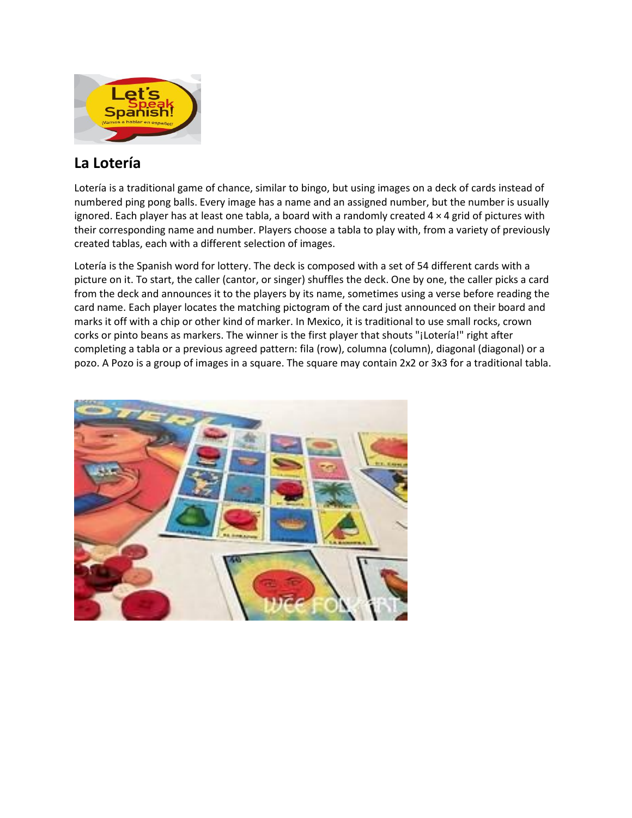

## **La Lotería**

Lotería is a traditional game of chance, similar to bingo, but using images on a deck of cards instead of numbered ping pong balls. Every image has a name and an assigned number, but the number is usually ignored. Each player has at least one tabla, a board with a randomly created 4 × 4 grid of pictures with their corresponding name and number. Players choose a tabla to play with, from a variety of previously created tablas, each with a different selection of images.

Lotería is the Spanish word for lottery. The deck is composed with a set of 54 different cards with a picture on it. To start, the caller (cantor, or singer) shuffles the deck. One by one, the caller picks a card from the deck and announces it to the players by its name, sometimes using a verse before reading the card name. Each player locates the matching pictogram of the card just announced on their board and marks it off with a chip or other kind of marker. In Mexico, it is traditional to use small rocks, crown corks or pinto beans as markers. The winner is the first player that shouts "¡Lotería!" right after completing a tabla or a previous agreed pattern: fila (row), columna (column), diagonal (diagonal) or a pozo. A Pozo is a group of images in a square. The square may contain 2x2 or 3x3 for a traditional tabla.

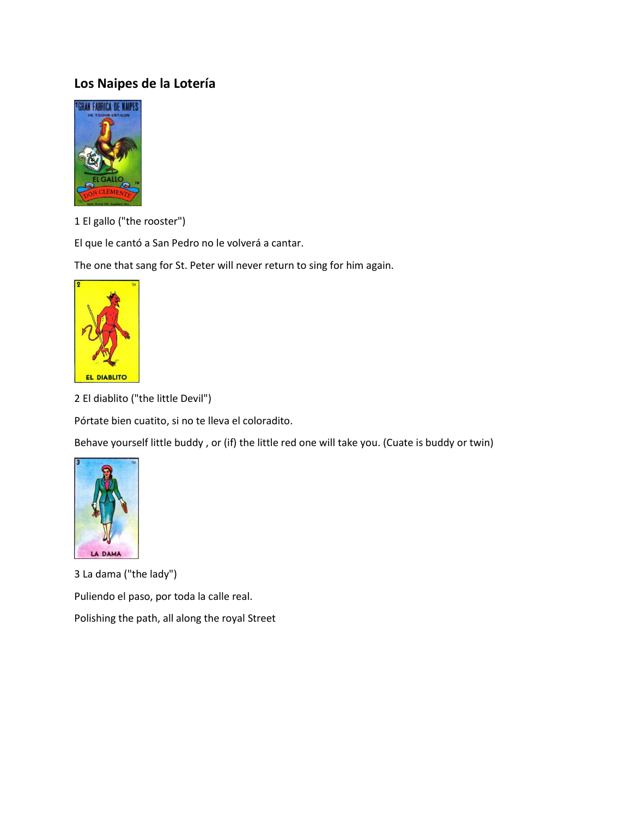## **Los Naipes de la Lotería**



1 El gallo ("the rooster")

El que le cantó a San Pedro no le volverá a cantar.

The one that sang for St. Peter will never return to sing for him again.



2 El diablito ("the little Devil")

Pórtate bien cuatito, si no te lleva el coloradito.

Behave yourself little buddy , or (if) the little red one will take you. (Cuate is buddy or twin)



3 La dama ("the lady") Puliendo el paso, por toda la calle real. Polishing the path, all along the royal Street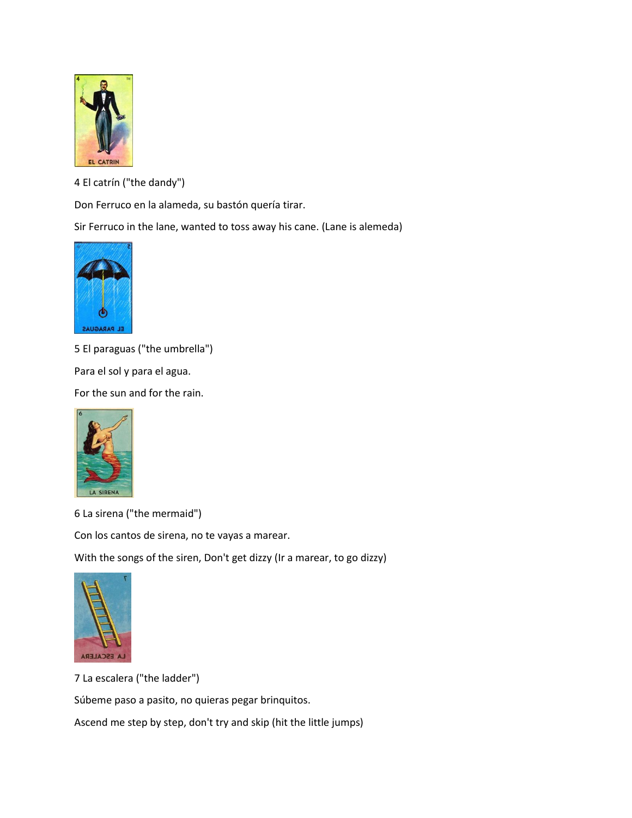

4 El catrín ("the dandy")

Don Ferruco en la alameda, su bastón quería tirar.

Sir Ferruco in the lane, wanted to toss away his cane. (Lane is alemeda)



5 El paraguas ("the umbrella")

Para el sol y para el agua.

For the sun and for the rain.



6 La sirena ("the mermaid")

Con los cantos de sirena, no te vayas a marear.

With the songs of the siren, Don't get dizzy (Ir a marear, to go dizzy)



7 La escalera ("the ladder")

Súbeme paso a pasito, no quieras pegar brinquitos.

Ascend me step by step, don't try and skip (hit the little jumps)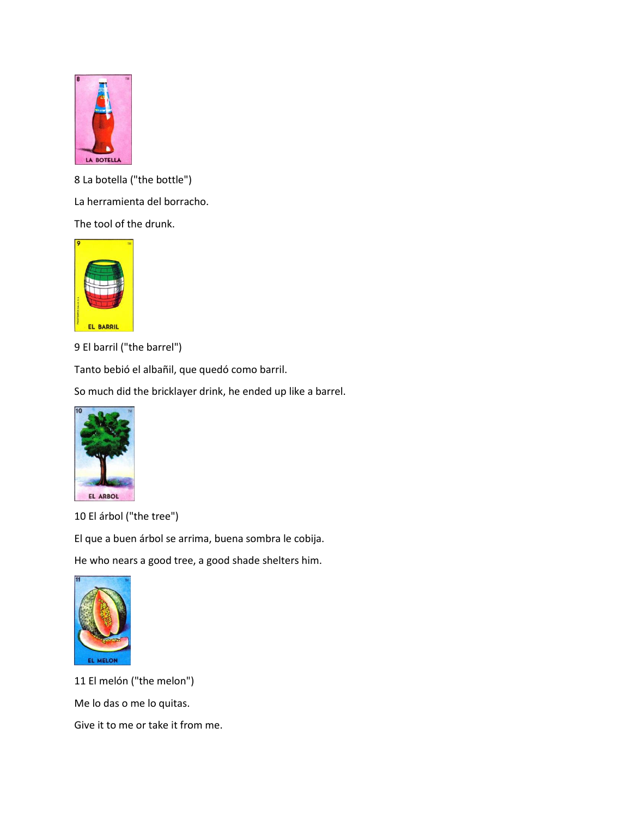

8 La botella ("the bottle") La herramienta del borracho. The tool of the drunk.



9 El barril ("the barrel")

Tanto bebió el albañil, que quedó como barril.

So much did the bricklayer drink, he ended up like a barrel.



10 El árbol ("the tree")

El que a buen árbol se arrima, buena sombra le cobija.

He who nears a good tree, a good shade shelters him.



11 El melón ("the melon") Me lo das o me lo quitas. Give it to me or take it from me.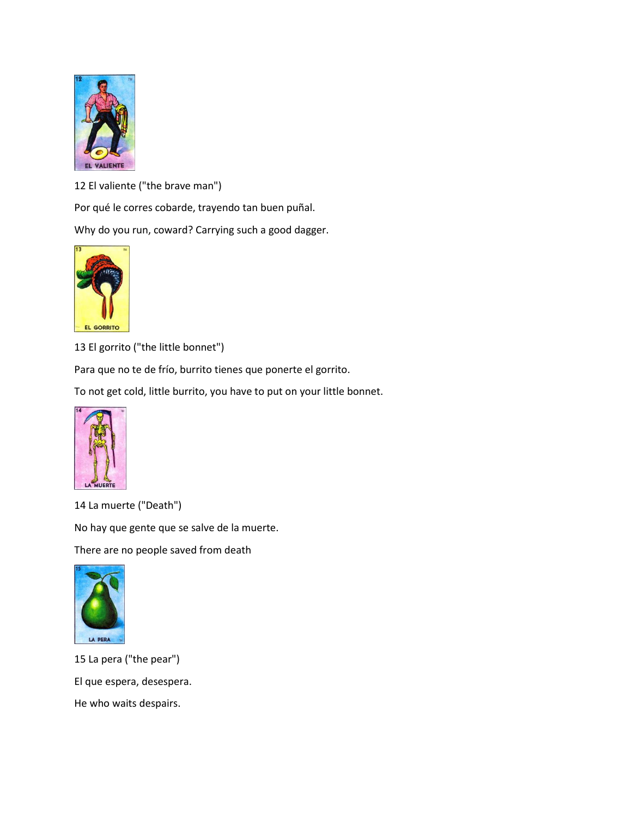

12 El valiente ("the brave man")

Por qué le corres cobarde, trayendo tan buen puñal.

Why do you run, coward? Carrying such a good dagger.



13 El gorrito ("the little bonnet")

Para que no te de frío, burrito tienes que ponerte el gorrito.

To not get cold, little burrito, you have to put on your little bonnet.



14 La muerte ("Death")

No hay que gente que se salve de la muerte.

There are no people saved from death



15 La pera ("the pear") El que espera, desespera. He who waits despairs.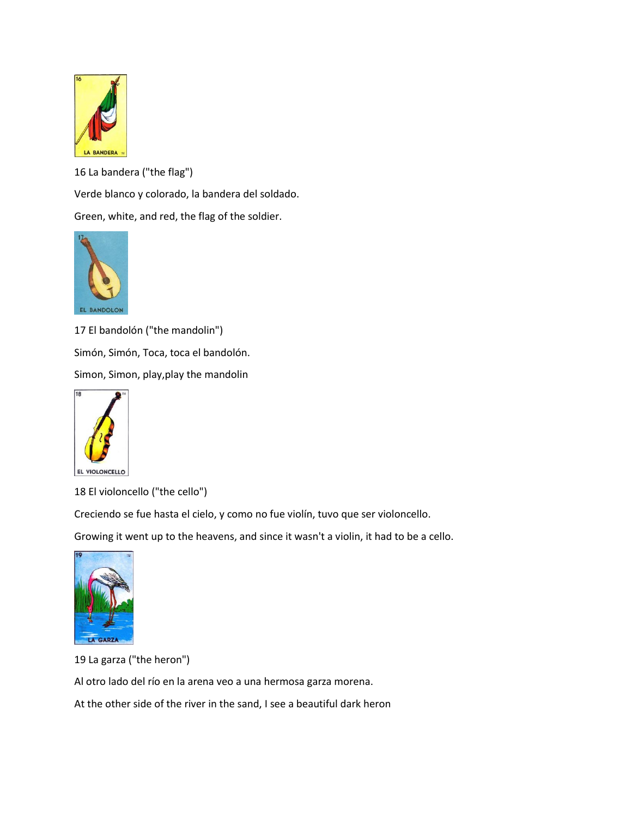

16 La bandera ("the flag")

Verde blanco y colorado, la bandera del soldado.

Green, white, and red, the flag of the soldier.



17 El bandolón ("the mandolin") Simón, Simón, Toca, toca el bandolón. Simon, Simon, play,play the mandolin



18 El violoncello ("the cello")

Creciendo se fue hasta el cielo, y como no fue violín, tuvo que ser violoncello.

Growing it went up to the heavens, and since it wasn't a violin, it had to be a cello.



19 La garza ("the heron")

Al otro lado del río en la arena veo a una hermosa garza morena.

At the other side of the river in the sand, I see a beautiful dark heron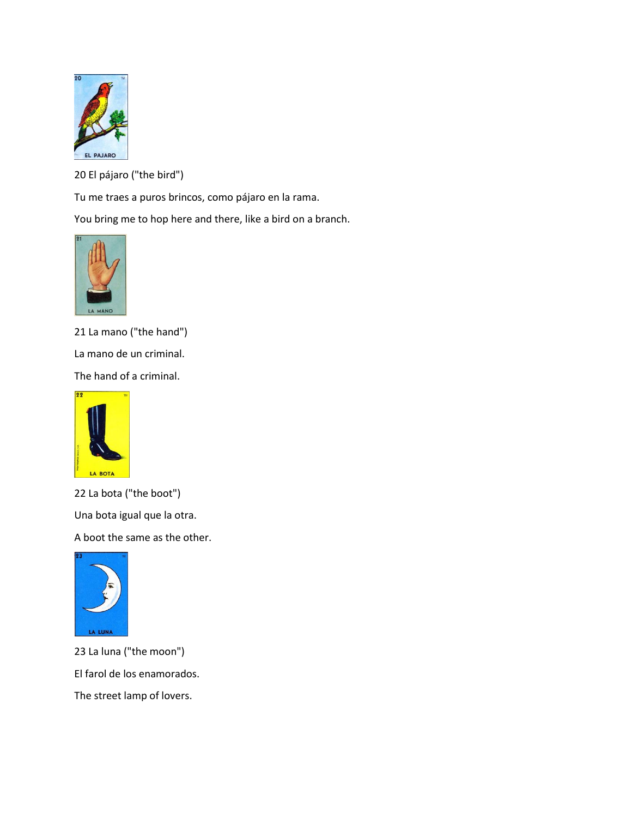

20 El pájaro ("the bird")

Tu me traes a puros brincos, como pájaro en la rama.

You bring me to hop here and there, like a bird on a branch.



21 La mano ("the hand")

La mano de un criminal.

The hand of a criminal.



22 La bota ("the boot")

Una bota igual que la otra.

A boot the same as the other.



23 La luna ("the moon") El farol de los enamorados. The street lamp of lovers.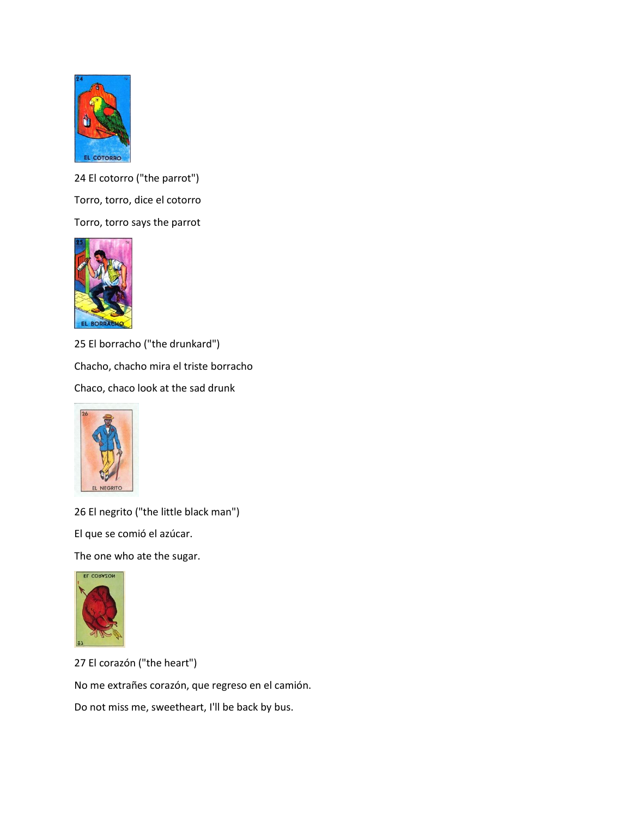

24 El cotorro ("the parrot") Torro, torro, dice el cotorro Torro, torro says the parrot



25 El borracho ("the drunkard") Chacho, chacho mira el triste borracho Chaco, chaco look at the sad drunk



26 El negrito ("the little black man")

El que se comió el azúcar.

The one who ate the sugar.



27 El corazón ("the heart") No me extrañes corazón, que regreso en el camión. Do not miss me, sweetheart, I'll be back by bus.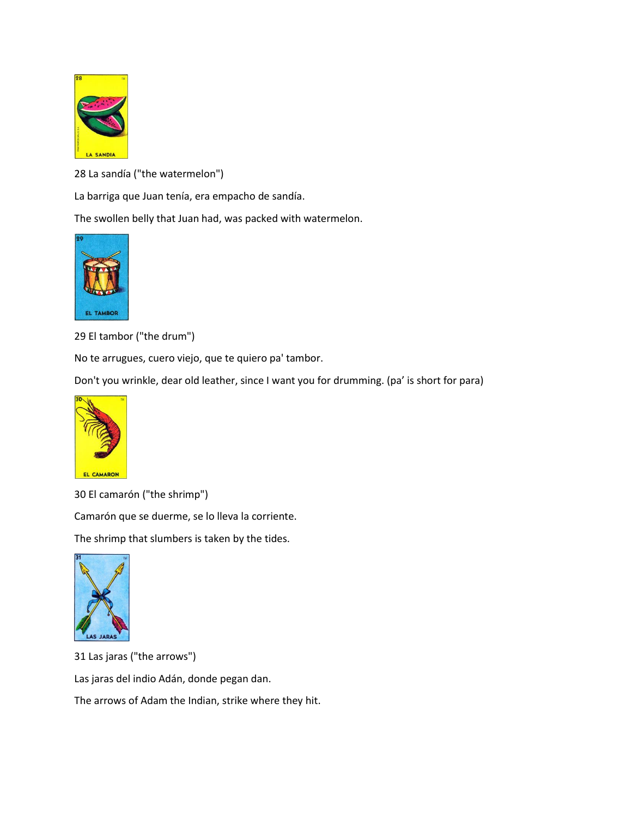

28 La sandía ("the watermelon")

La barriga que Juan tenía, era empacho de sandía.

The swollen belly that Juan had, was packed with watermelon.



29 El tambor ("the drum")

No te arrugues, cuero viejo, que te quiero pa' tambor.

Don't you wrinkle, dear old leather, since I want you for drumming. (pa' is short for para)



30 El camarón ("the shrimp")

Camarón que se duerme, se lo lleva la corriente.

The shrimp that slumbers is taken by the tides.



31 Las jaras ("the arrows")

Las jaras del indio Adán, donde pegan dan.

The arrows of Adam the Indian, strike where they hit.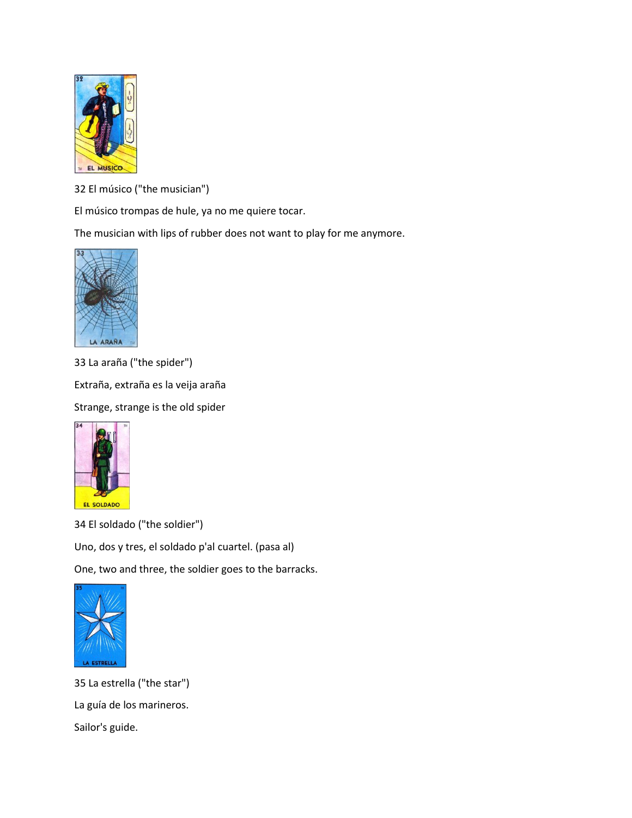

32 El músico ("the musician")

El músico trompas de hule, ya no me quiere tocar.

The musician with lips of rubber does not want to play for me anymore.



33 La araña ("the spider")

Extraña, extraña es la veija araña

Strange, strange is the old spider



34 El soldado ("the soldier")

Uno, dos y tres, el soldado p'al cuartel. (pasa al)

One, two and three, the soldier goes to the barracks.



35 La estrella ("the star") La guía de los marineros. Sailor's guide.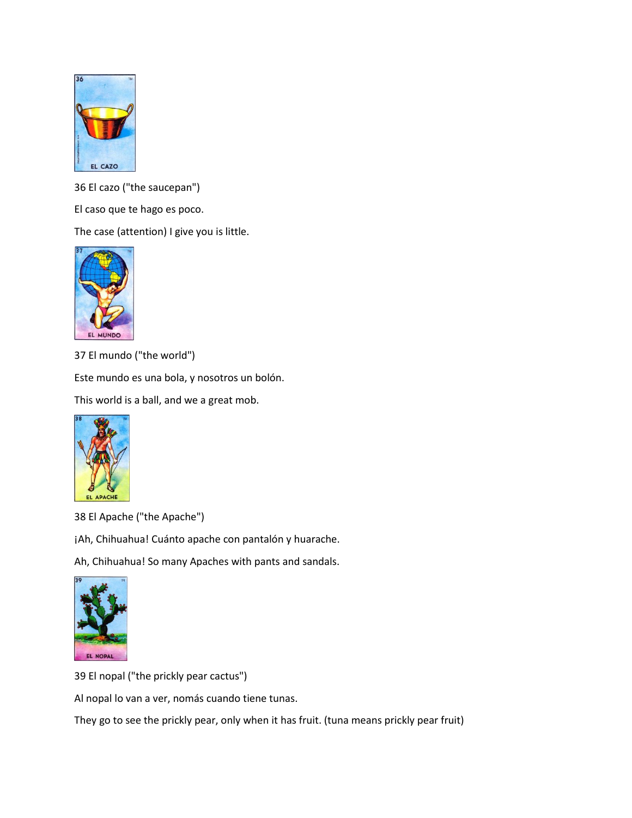

36 El cazo ("the saucepan")

El caso que te hago es poco.

The case (attention) I give you is little.



37 El mundo ("the world")

Este mundo es una bola, y nosotros un bolón.

This world is a ball, and we a great mob.



38 El Apache ("the Apache")

¡Ah, Chihuahua! Cuánto apache con pantalón y huarache.

Ah, Chihuahua! So many Apaches with pants and sandals.



39 El nopal ("the prickly pear cactus")

Al nopal lo van a ver, nomás cuando tiene tunas.

They go to see the prickly pear, only when it has fruit. (tuna means prickly pear fruit)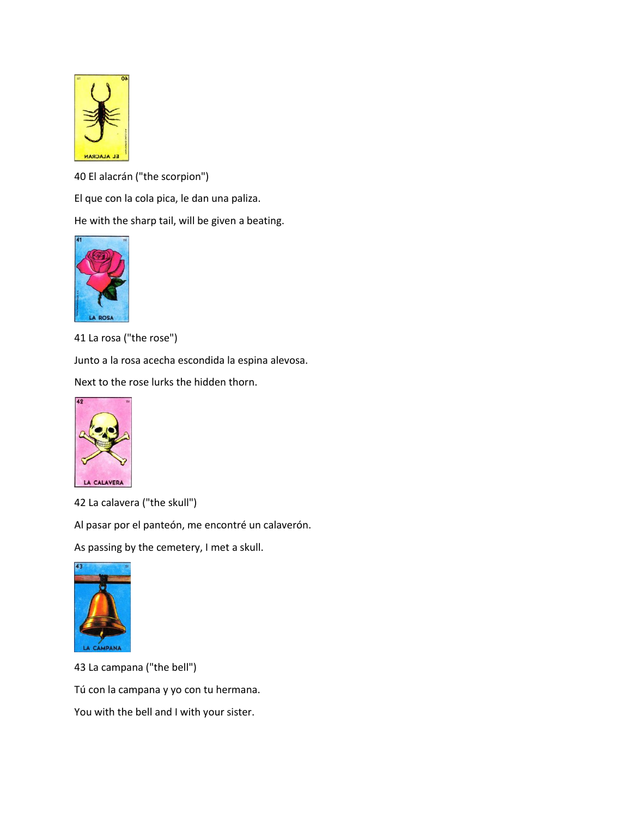

40 El alacrán ("the scorpion")

El que con la cola pica, le dan una paliza.

He with the sharp tail, will be given a beating.



41 La rosa ("the rose")

Junto a la rosa acecha escondida la espina alevosa.

Next to the rose lurks the hidden thorn.



42 La calavera ("the skull")

Al pasar por el panteón, me encontré un calaverón.

As passing by the cemetery, I met a skull.



43 La campana ("the bell") Tú con la campana y yo con tu hermana. You with the bell and I with your sister.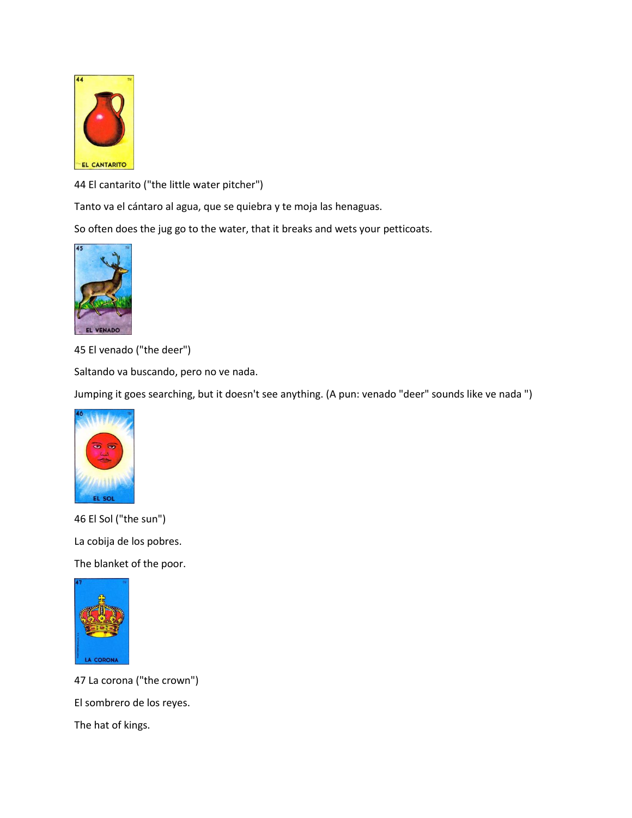

44 El cantarito ("the little water pitcher")

Tanto va el cántaro al agua, que se quiebra y te moja las henaguas.

So often does the jug go to the water, that it breaks and wets your petticoats.



45 El venado ("the deer")

Saltando va buscando, pero no ve nada.

Jumping it goes searching, but it doesn't see anything. (A pun: venado "deer" sounds like ve nada ")



46 El Sol ("the sun") La cobija de los pobres. The blanket of the poor.



47 La corona ("the crown") El sombrero de los reyes. The hat of kings.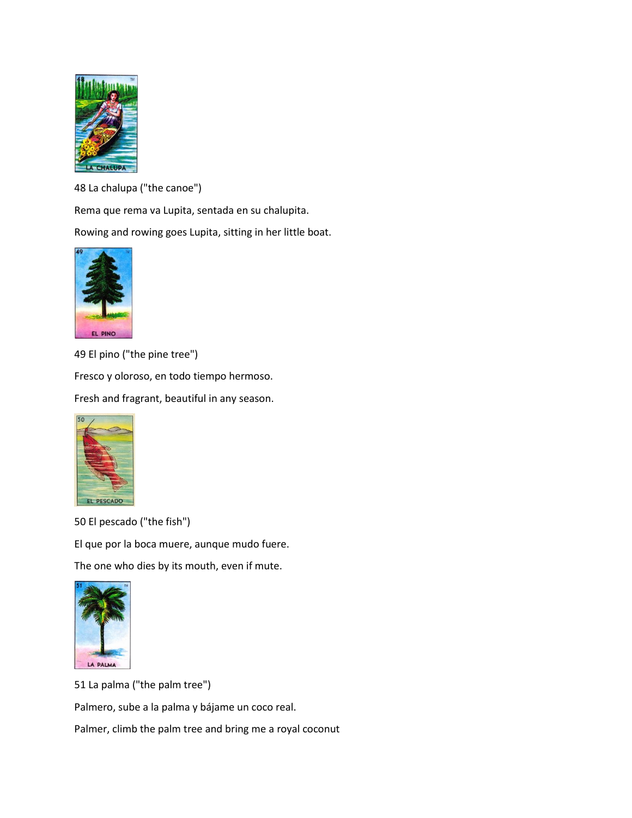

48 La chalupa ("the canoe")

Rema que rema va Lupita, sentada en su chalupita.

Rowing and rowing goes Lupita, sitting in her little boat.



49 El pino ("the pine tree")

Fresco y oloroso, en todo tiempo hermoso.

Fresh and fragrant, beautiful in any season.



50 El pescado ("the fish")

El que por la boca muere, aunque mudo fuere.

The one who dies by its mouth, even if mute.



51 La palma ("the palm tree")

Palmero, sube a la palma y bájame un coco real.

Palmer, climb the palm tree and bring me a royal coconut